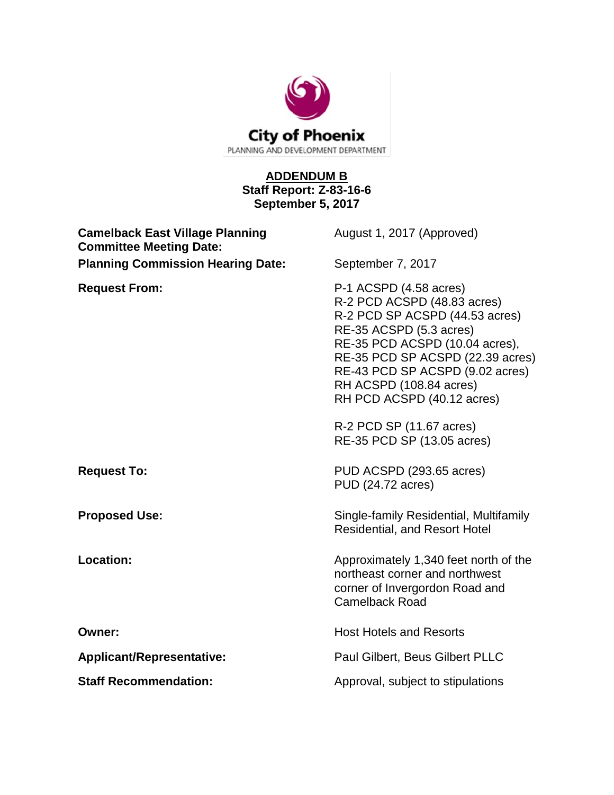

## **ADDENDUM B Staff Report: Z-83-16-6 September 5, 2017**

| <b>Camelback East Village Planning</b><br><b>Committee Meeting Date:</b> | August 1, 2017 (Approved)                                                                                                                                                                                                                                                                                                                      |
|--------------------------------------------------------------------------|------------------------------------------------------------------------------------------------------------------------------------------------------------------------------------------------------------------------------------------------------------------------------------------------------------------------------------------------|
| <b>Planning Commission Hearing Date:</b>                                 | September 7, 2017                                                                                                                                                                                                                                                                                                                              |
| <b>Request From:</b>                                                     | P-1 ACSPD (4.58 acres)<br>R-2 PCD ACSPD (48.83 acres)<br>R-2 PCD SP ACSPD (44.53 acres)<br>RE-35 ACSPD (5.3 acres)<br>RE-35 PCD ACSPD (10.04 acres),<br>RE-35 PCD SP ACSPD (22.39 acres)<br>RE-43 PCD SP ACSPD (9.02 acres)<br>RH ACSPD (108.84 acres)<br>RH PCD ACSPD (40.12 acres)<br>R-2 PCD SP (11.67 acres)<br>RE-35 PCD SP (13.05 acres) |
| <b>Request To:</b>                                                       | PUD ACSPD (293.65 acres)<br>PUD (24.72 acres)                                                                                                                                                                                                                                                                                                  |
| <b>Proposed Use:</b>                                                     | Single-family Residential, Multifamily<br><b>Residential, and Resort Hotel</b>                                                                                                                                                                                                                                                                 |
| <b>Location:</b>                                                         | Approximately 1,340 feet north of the<br>northeast corner and northwest<br>corner of Invergordon Road and<br><b>Camelback Road</b>                                                                                                                                                                                                             |
| Owner:                                                                   | <b>Host Hotels and Resorts</b>                                                                                                                                                                                                                                                                                                                 |
| <b>Applicant/Representative:</b>                                         | Paul Gilbert, Beus Gilbert PLLC                                                                                                                                                                                                                                                                                                                |
| <b>Staff Recommendation:</b>                                             | Approval, subject to stipulations                                                                                                                                                                                                                                                                                                              |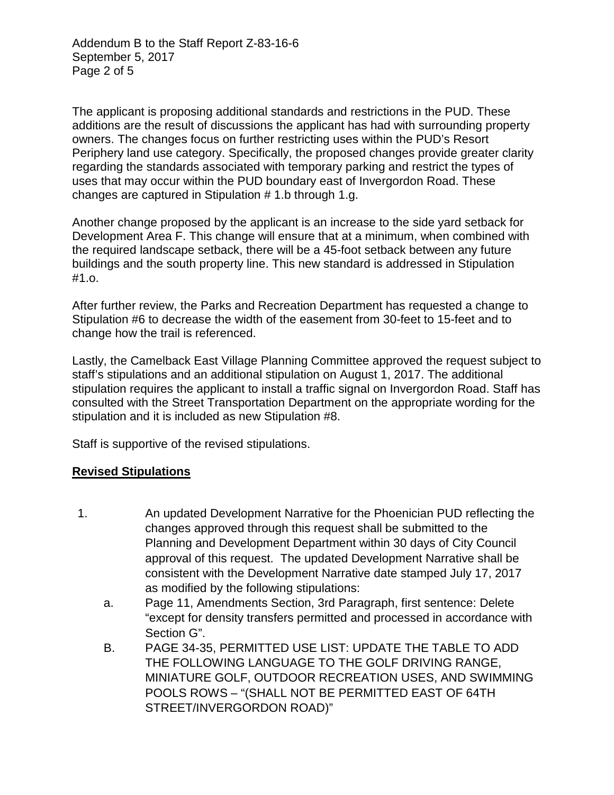Addendum B to the Staff Report Z-83-16-6 September 5, 2017 Page 2 of 5

The applicant is proposing additional standards and restrictions in the PUD. These additions are the result of discussions the applicant has had with surrounding property owners. The changes focus on further restricting uses within the PUD's Resort Periphery land use category. Specifically, the proposed changes provide greater clarity regarding the standards associated with temporary parking and restrict the types of uses that may occur within the PUD boundary east of Invergordon Road. These changes are captured in Stipulation # 1.b through 1.g.

Another change proposed by the applicant is an increase to the side yard setback for Development Area F. This change will ensure that at a minimum, when combined with the required landscape setback, there will be a 45-foot setback between any future buildings and the south property line. This new standard is addressed in Stipulation #1.o.

After further review, the Parks and Recreation Department has requested a change to Stipulation #6 to decrease the width of the easement from 30-feet to 15-feet and to change how the trail is referenced.

Lastly, the Camelback East Village Planning Committee approved the request subject to staff's stipulations and an additional stipulation on August 1, 2017. The additional stipulation requires the applicant to install a traffic signal on Invergordon Road. Staff has consulted with the Street Transportation Department on the appropriate wording for the stipulation and it is included as new Stipulation #8.

Staff is supportive of the revised stipulations.

## **Revised Stipulations**

- 1. An updated Development Narrative for the Phoenician PUD reflecting the changes approved through this request shall be submitted to the Planning and Development Department within 30 days of City Council approval of this request. The updated Development Narrative shall be consistent with the Development Narrative date stamped July 17, 2017 as modified by the following stipulations:
	- a. Page 11, Amendments Section, 3rd Paragraph, first sentence: Delete "except for density transfers permitted and processed in accordance with Section G".
	- B. PAGE 34-35, PERMITTED USE LIST: UPDATE THE TABLE TO ADD THE FOLLOWING LANGUAGE TO THE GOLF DRIVING RANGE, MINIATURE GOLF, OUTDOOR RECREATION USES, AND SWIMMING POOLS ROWS – "(SHALL NOT BE PERMITTED EAST OF 64TH STREET/INVERGORDON ROAD)"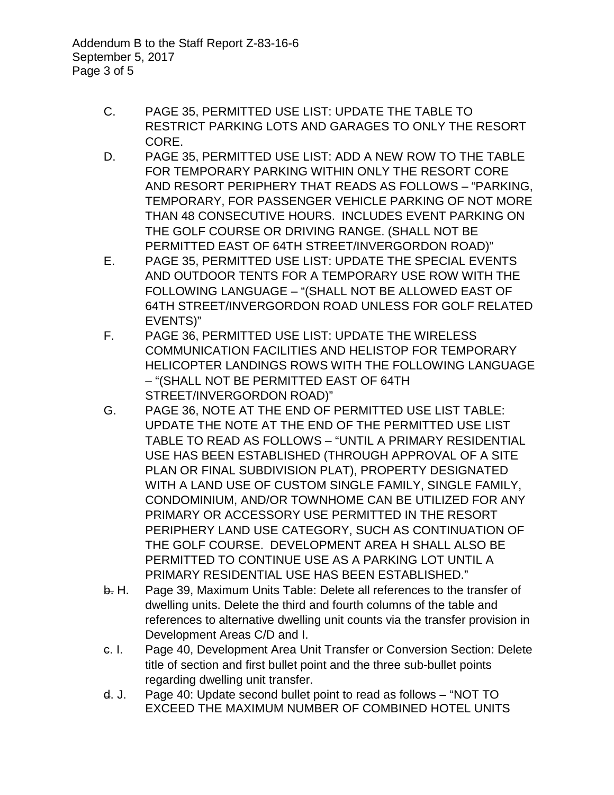Addendum B to the Staff Report Z-83-16-6 September 5, 2017 Page 3 of 5

- C. PAGE 35, PERMITTED USE LIST: UPDATE THE TABLE TO RESTRICT PARKING LOTS AND GARAGES TO ONLY THE RESORT CORE.
- D. PAGE 35, PERMITTED USE LIST: ADD A NEW ROW TO THE TABLE FOR TEMPORARY PARKING WITHIN ONLY THE RESORT CORE AND RESORT PERIPHERY THAT READS AS FOLLOWS – "PARKING, TEMPORARY, FOR PASSENGER VEHICLE PARKING OF NOT MORE THAN 48 CONSECUTIVE HOURS. INCLUDES EVENT PARKING ON THE GOLF COURSE OR DRIVING RANGE. (SHALL NOT BE PERMITTED EAST OF 64TH STREET/INVERGORDON ROAD)"
- E. PAGE 35, PERMITTED USE LIST: UPDATE THE SPECIAL EVENTS AND OUTDOOR TENTS FOR A TEMPORARY USE ROW WITH THE FOLLOWING LANGUAGE – "(SHALL NOT BE ALLOWED EAST OF 64TH STREET/INVERGORDON ROAD UNLESS FOR GOLF RELATED EVENTS)"
- F. PAGE 36, PERMITTED USE LIST: UPDATE THE WIRELESS COMMUNICATION FACILITIES AND HELISTOP FOR TEMPORARY HELICOPTER LANDINGS ROWS WITH THE FOLLOWING LANGUAGE – "(SHALL NOT BE PERMITTED EAST OF 64TH STREET/INVERGORDON ROAD)"
- G. PAGE 36, NOTE AT THE END OF PERMITTED USE LIST TABLE: UPDATE THE NOTE AT THE END OF THE PERMITTED USE LIST TABLE TO READ AS FOLLOWS – "UNTIL A PRIMARY RESIDENTIAL USE HAS BEEN ESTABLISHED (THROUGH APPROVAL OF A SITE PLAN OR FINAL SUBDIVISION PLAT), PROPERTY DESIGNATED WITH A LAND USE OF CUSTOM SINGLE FAMILY, SINGLE FAMILY, CONDOMINIUM, AND/OR TOWNHOME CAN BE UTILIZED FOR ANY PRIMARY OR ACCESSORY USE PERMITTED IN THE RESORT PERIPHERY LAND USE CATEGORY, SUCH AS CONTINUATION OF THE GOLF COURSE. DEVELOPMENT AREA H SHALL ALSO BE PERMITTED TO CONTINUE USE AS A PARKING LOT UNTIL A PRIMARY RESIDENTIAL USE HAS BEEN ESTABLISHED."
- b. H. Page 39, Maximum Units Table: Delete all references to the transfer of dwelling units. Delete the third and fourth columns of the table and references to alternative dwelling unit counts via the transfer provision in Development Areas C/D and I.
- c. I. Page 40, Development Area Unit Transfer or Conversion Section: Delete title of section and first bullet point and the three sub-bullet points regarding dwelling unit transfer.
- d. J. Page 40: Update second bullet point to read as follows "NOT TO EXCEED THE MAXIMUM NUMBER OF COMBINED HOTEL UNITS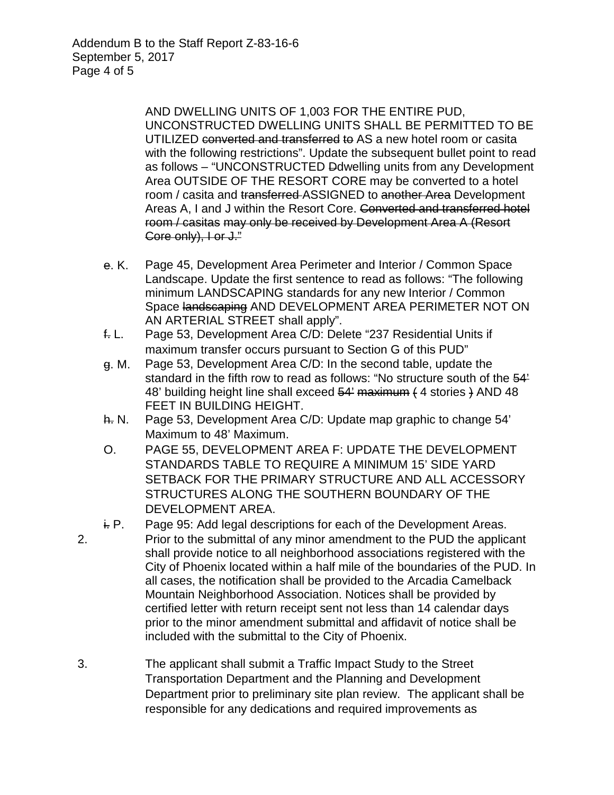Addendum B to the Staff Report Z-83-16-6 September 5, 2017 Page 4 of 5

> AND DWELLING UNITS OF 1,003 FOR THE ENTIRE PUD, UNCONSTRUCTED DWELLING UNITS SHALL BE PERMITTED TO BE UTILIZED converted and transferred to AS a new hotel room or casita with the following restrictions". Update the subsequent bullet point to read as follows – "UNCONSTRUCTED Ddwelling units from any Development Area OUTSIDE OF THE RESORT CORE may be converted to a hotel room / casita and transferred-ASSIGNED to another Area Development Areas A, I and J within the Resort Core. Converted and transferred hotel room / casitas may only be received by Development Area A (Resort Core only), I or J."

- e. K. Page 45, Development Area Perimeter and Interior / Common Space Landscape. Update the first sentence to read as follows: "The following minimum LANDSCAPING standards for any new Interior / Common Space landscaping AND DEVELOPMENT AREA PERIMETER NOT ON AN ARTERIAL STREET shall apply".
- f. L. Page 53, Development Area C/D: Delete "237 Residential Units if maximum transfer occurs pursuant to Section G of this PUD"
- g. M. Page 53, Development Area C/D: In the second table, update the standard in the fifth row to read as follows: "No structure south of the 54' 48' building height line shall exceed 54' maximum (4 stories ) AND 48 FEET IN BUILDING HEIGHT.
- h. N. Page 53, Development Area C/D: Update map graphic to change 54' Maximum to 48' Maximum.
- O. PAGE 55, DEVELOPMENT AREA F: UPDATE THE DEVELOPMENT STANDARDS TABLE TO REQUIRE A MINIMUM 15' SIDE YARD SETBACK FOR THE PRIMARY STRUCTURE AND ALL ACCESSORY STRUCTURES ALONG THE SOUTHERN BOUNDARY OF THE DEVELOPMENT AREA.
- $F.$  Page 95: Add legal descriptions for each of the Development Areas.
- 2. Prior to the submittal of any minor amendment to the PUD the applicant shall provide notice to all neighborhood associations registered with the City of Phoenix located within a half mile of the boundaries of the PUD. In all cases, the notification shall be provided to the Arcadia Camelback Mountain Neighborhood Association. Notices shall be provided by certified letter with return receipt sent not less than 14 calendar days prior to the minor amendment submittal and affidavit of notice shall be included with the submittal to the City of Phoenix.
- 3. The applicant shall submit a Traffic Impact Study to the Street Transportation Department and the Planning and Development Department prior to preliminary site plan review. The applicant shall be responsible for any dedications and required improvements as